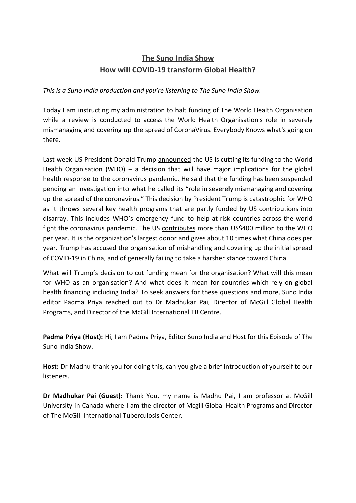## **The Suno India Show How will COVID-19 transform Global Health?**

*This is a Suno India production and you're listening to The Suno India Show.*

Today I am instructing my administration to halt funding of The World Health Organisation while a review is conducted to access the World Health Organisation's role in severely mismanaging and covering up the spread of CoronaVirus. Everybody Knows what's going on there.

Last week US President Donald Trump [announced](https://www.nytimes.com/video/us/politics/100000007088432/trump-world-health-organization-coronavirus.html) the US is cutting its funding to the World Health Organisation (WHO) – a decision that will have major implications for the global health response to the coronavirus pandemic. He said that the funding has been suspended pending an investigation into what he called its "role in severely mismanaging and covering up the spread of the coronavirus." This decision by President Trump is catastrophic for WHO as it throws several key health programs that are partly funded by US contributions into disarray. This includes WHO's emergency fund to help at-risk countries across the world fight the coronavirus pandemic. The US [contributes](https://www.theguardian.com/us-news/2020/apr/15/trump-turns-against-who-to-mask-his-own-stark-failings-on-covid-19-crisis) more than US\$400 million to the WHO per year. It is the organization's largest donor and gives about 10 times what China does per year. Trump has accused the [organisation](https://www.bbc.com/news/world-us-canada-52289056) of mishandling and covering up the initial spread of COVID-19 in China, and of generally failing to take a harsher stance toward China.

What will Trump's decision to cut funding mean for the organisation? What will this mean for WHO as an organisation? And what does it mean for countries which rely on global health financing including India? To seek answers for these questions and more, Suno India editor Padma Priya reached out to Dr Madhukar Pai, Director of McGill Global Health Programs, and Director of the McGill International TB Centre.

**Padma Priya (Host):** Hi, I am Padma Priya, Editor Suno India and Host for this Episode of The Suno India Show.

**Host:** Dr Madhu thank you for doing this, can you give a brief introduction of yourself to our listeners.

**Dr Madhukar Pai (Guest):** Thank You, my name is Madhu Pai, I am professor at McGill University in Canada where I am the director of Mcgill Global Health Programs and Director of The McGill International Tuberculosis Center.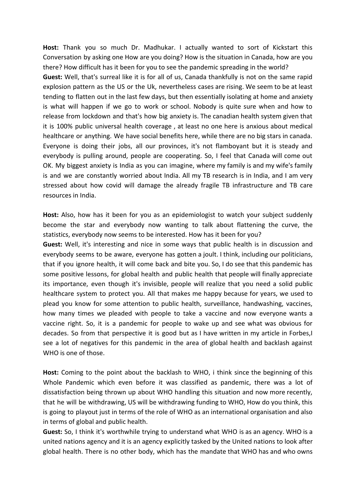**Host:** Thank you so much Dr. Madhukar. I actually wanted to sort of Kickstart this Conversation by asking one How are you doing? How is the situation in Canada, how are you there? How difficult has it been for you to see the pandemic spreading in the world? **Guest:** Well, that's surreal like it is for all of us, Canada thankfully is not on the same rapid

explosion pattern as the US or the Uk, nevertheless cases are rising. We seem to be at least tending to flatten out in the last few days, but then essentially isolating at home and anxiety is what will happen if we go to work or school. Nobody is quite sure when and how to release from lockdown and that's how big anxiety is. The canadian health system given that it is 100% public universal health coverage , at least no one here is anxious about medical healthcare or anything. We have social benefits here, while there are no big stars in canada. Everyone is doing their jobs, all our provinces, it's not flamboyant but it is steady and everybody is pulling around, people are cooperating. So, I feel that Canada will come out OK. My biggest anxiety is India as you can imagine, where my family is and my wife's family is and we are constantly worried about India. All my TB research is in India, and I am very stressed about how covid will damage the already fragile TB infrastructure and TB care resources in India.

**Host:** Also, how has it been for you as an epidemiologist to watch your subject suddenly become the star and everybody now wanting to talk about flattening the curve, the statistics, everybody now seems to be interested. How has it been for you?

**Guest:** Well, it's interesting and nice in some ways that public health is in discussion and everybody seems to be aware, everyone has gotten a joult. I think, including our politicians, that if you ignore health, it will come back and bite you. So, I do see that this pandemic has some positive lessons, for global health and public health that people will finally appreciate its importance, even though it's invisible, people will realize that you need a solid public healthcare system to protect you. All that makes me happy because for years, we used to plead you know for some attention to public health, surveillance, handwashing, vaccines, how many times we pleaded with people to take a vaccine and now everyone wants a vaccine right. So, it is a pandemic for people to wake up and see what was obvious for decades. So from that perspective it is good but as I have written in my article in Forbes,I see a lot of negatives for this pandemic in the area of global health and backlash against WHO is one of those.

**Host:** Coming to the point about the backlash to WHO, i think since the beginning of this Whole Pandemic which even before it was classified as pandemic, there was a lot of dissatisfaction being thrown up about WHO handling this situation and now more recently, that he will be withdrawing, US will be withdrawing funding to WHO, How do you think, this is going to playout just in terms of the role of WHO as an international organisation and also in terms of global and public health.

**Guest:** So, I think it's worthwhile trying to understand what WHO is as an agency. WHO is a united nations agency and it is an agency explicitly tasked by the United nations to look after global health. There is no other body, which has the mandate that WHO has and who owns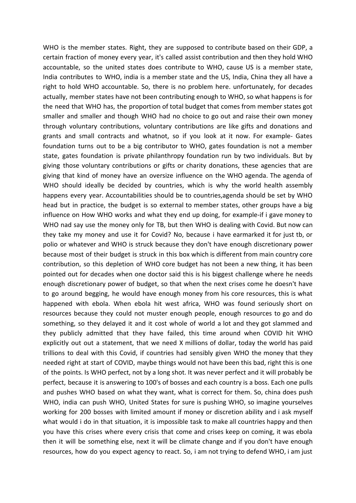WHO is the member states. Right, they are supposed to contribute based on their GDP, a certain fraction of money every year, it's called assist contribution and then they hold WHO accountable, so the united states does contribute to WHO, cause US is a member state, India contributes to WHO, india is a member state and the US, India, China they all have a right to hold WHO accountable. So, there is no problem here. unfortunately, for decades actually, member states have not been contributing enough to WHO, so what happens is for the need that WHO has, the proportion of total budget that comes from member states got smaller and smaller and though WHO had no choice to go out and raise their own money through voluntary contributions, voluntary contributions are like gifts and donations and grants and small contracts and whatnot, so if you look at it now. For example- Gates foundation turns out to be a big contributor to WHO, gates foundation is not a member state, gates foundation is private philanthropy foundation run by two individuals. But by giving those voluntary contributions or gifts or charity donations, these agencies that are giving that kind of money have an oversize influence on the WHO agenda. The agenda of WHO should ideally be decided by countries, which is why the world health assembly happens every year. Accountabilities should be to countries,agenda should be set by WHO head but in practice, the budget is so external to member states, other groups have a big influence on How WHO works and what they end up doing, for example-if i gave money to WHO nad say use the money only for TB, but then WHO is dealing with Covid. But now can they take my money and use it for Covid? No, because i have earmarked it for just tb, or polio or whatever and WHO is struck because they don't have enough discretionary power because most of their budget is struck in this box which is different from main country core contribution, so this depletion of WHO core budget has not been a new thing, it has been pointed out for decades when one doctor said this is his biggest challenge where he needs enough discretionary power of budget, so that when the next crises come he doesn't have to go around begging, he would have enough money from his core resources, this is what happened with ebola. When ebola hit west africa, WHO was found seriously short on resources because they could not muster enough people, enough resources to go and do something, so they delayed it and it cost whole of world a lot and they got slammed and they publicly admitted that they have failed, this time around when COVID hit WHO explicitly out out a statement, that we need X millions of dollar, today the world has paid trillions to deal with this Covid, if countries had sensibly given WHO the money that they needed right at start of COVID, maybe things would not have been this bad, right this is one of the points. Is WHO perfect, not by a long shot. It was never perfect and it will probably be perfect, because it is answering to 100's of bosses and each country is a boss. Each one pulls and pushes WHO based on what they want, what is correct for them. So, china does push WHO, india can push WHO, United States for sure is pushing WHO, so imagine yourselves working for 200 bosses with limited amount if money or discretion ability and i ask myself what would i do in that situation, it is impossible task to make all countries happy and then you have this crises where every crisis that come and crises keep on coming, it was ebola then it will be something else, next it will be climate change and if you don't have enough resources, how do you expect agency to react. So, i am not trying to defend WHO, i am just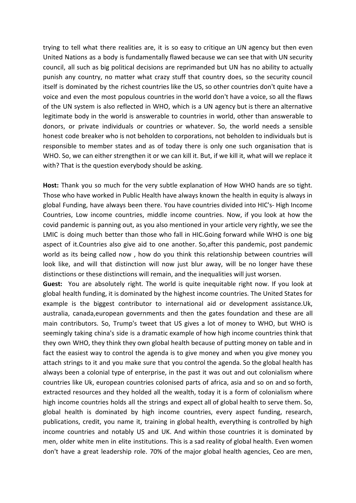trying to tell what there realities are, it is so easy to critique an UN agency but then even United Nations as a body is fundamentally flawed because we can see that with UN security council, all such as big political decisions are reprimanded but UN has no ability to actually punish any country, no matter what crazy stuff that country does, so the security council itself is dominated by the richest countries like the US, so other countries don't quite have a voice and even the most populous countries in the world don't have a voice, so all the flaws of the UN system is also reflected in WHO, which is a UN agency but is there an alternative legitimate body in the world is answerable to countries in world, other than answerable to donors, or private individuals or countries or whatever. So, the world needs a sensible honest code breaker who is not beholden to corporations, not beholden to individuals but is responsible to member states and as of today there is only one such organisation that is WHO. So, we can either strengthen it or we can kill it. But, if we kill it, what will we replace it with? That is the question everybody should be asking.

**Host:** Thank you so much for the very subtle explanation of How WHO hands are so tight. Those who have worked in Public Health have always known the health in equity is always in global Funding, have always been there. You have countries divided into HIC's- High Income Countries, Low income countries, middle income countries. Now, if you look at how the covid pandemic is panning out, as you also mentioned in your article very rightly, we see the LMIC is doing much better than those who fall in HIC.Going forward while WHO is one big aspect of it.Countries also give aid to one another. So,after this pandemic, post pandemic world as its being called now , how do you think this relationship between countries will look like, and will that distinction will now just blur away, will be no longer have these distinctions or these distinctions will remain, and the inequalities will just worsen.

**Guest:** You are absolutely right. The world is quite inequitable right now. If you look at global health funding, it is dominated by the highest income countries. The United States for example is the biggest contributor to international aid or development assistance.Uk, australia, canada,european governments and then the gates foundation and these are all main contributors. So, Trump's tweet that US gives a lot of money to WHO, but WHO is seemingly taking china's side is a dramatic example of how high income countries think that they own WHO, they think they own global health because of putting money on table and in fact the easiest way to control the agenda is to give money and when you give money you attach strings to it and you make sure that you control the agenda. So the global health has always been a colonial type of enterprise, in the past it was out and out colonialism where countries like Uk, european countries colonised parts of africa, asia and so on and so forth, extracted resources and they holded all the wealth, today it is a form of colonialism where high income countries holds all the strings and expect all of global health to serve them. So, global health is dominated by high income countries, every aspect funding, research, publications, credit, you name it, training in global health, everything is controlled by high income countries and notably US and UK. And within those countries it is dominated by men, older white men in elite institutions. This is a sad reality of global health. Even women don't have a great leadership role. 70% of the major global health agencies, Ceo are men,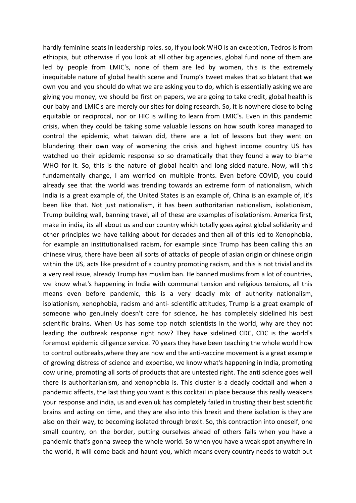hardly feminine seats in leadership roles. so, if you look WHO is an exception, Tedros is from ethiopia, but otherwise if you look at all other big agencies, global fund none of them are led by people from LMIC's, none of them are led by women, this is the extremely inequitable nature of global health scene and Trump's tweet makes that so blatant that we own you and you should do what we are asking you to do, which is essentially asking we are giving you money, we should be first on papers, we are going to take credit, global health is our baby and LMIC's are merely our sites for doing research. So, it is nowhere close to being equitable or reciprocal, nor or HIC is willing to learn from LMIC's. Even in this pandemic crisis, when they could be taking some valuable lessons on how south korea managed to control the epidemic, what taiwan did, there are a lot of lessons but they went on blundering their own way of worsening the crisis and highest income country US has watched uo their epidemic response so so dramatically that they found a way to blame WHO for it. So, this is the nature of global health and long sided nature. Now, will this fundamentally change, I am worried on multiple fronts. Even before COVID, you could already see that the world was trending towards an extreme form of nationalism, which India is a great example of, the United States is an example of, China is an example of, it's been like that. Not just nationalism, it has been authoritarian nationalism, isolationism, Trump building wall, banning travel, all of these are examples of isolationism. America first, make in india, its all about us and our country which totally goes aginst global solidarity and other principles we have talking about for decades and then all of this led to Xenophobia, for example an institutionalised racism, for example since Trump has been calling this an chinese virus, there have been all sorts of attacks of people of asian origin or chinese origin within the US, acts like presidrnt of a country promoting racism, and this is not trivial and its a very real issue, already Trump has muslim ban. He banned muslims from a lot of countries, we know what's happening in India with communal tension and religious tensions, all this means even before pandemic, this is a very deadly mix of authority nationalism, isolationism, xenophobia, racism and anti- scientific attitudes, Trump is a great example of someone who genuinely doesn't care for science, he has completely sidelined his best scientific brains. When Us has some top notch scientists in the world, why are they not leading the outbreak response right now? They have sidelined CDC, CDC is the world's foremost epidemic diligence service. 70 years they have been teaching the whole world how to control outbreaks,where they are now and the anti-vaccine movement is a great example of growing distress of science and expertise, we know what's happening in India, promoting cow urine, promoting all sorts of products that are untested right. The anti science goes well there is authoritarianism, and xenophobia is. This cluster is a deadly cocktail and when a pandemic affects, the last thing you want is this cocktail in place because this really weakens your response and india, us and even uk has completely failed in trusting their best scientific brains and acting on time, and they are also into this brexit and there isolation is they are also on their way, to becoming isolated through brexit. So, this contraction into oneself, one small country, on the border, putting ourselves ahead of others fails when you have a pandemic that's gonna sweep the whole world. So when you have a weak spot anywhere in the world, it will come back and haunt you, which means every country needs to watch out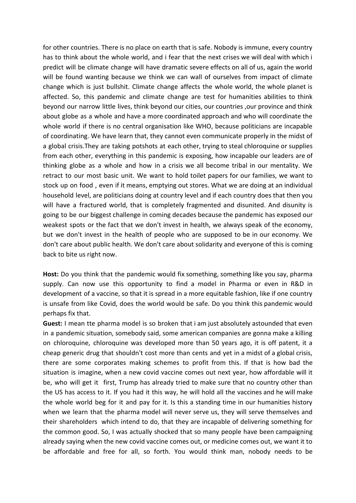for other countries. There is no place on earth that is safe. Nobody is immune, every country has to think about the whole world, and i fear that the next crises we will deal with which i predict will be climate change will have dramatic severe effects on all of us, again the world will be found wanting because we think we can wall of ourselves from impact of climate change which is just bullshit. Climate change affects the whole world, the whole planet is affected. So, this pandemic and climate change are test for humanities abilities to think beyond our narrow little lives, think beyond our cities, our countries ,our province and think about globe as a whole and have a more coordinated approach and who will coordinate the whole world if there is no central organisation like WHO, because politicians are incapable of coordinating. We have learn that, they cannot even communicate properly in the midst of a global crisis.They are taking potshots at each other, trying to steal chloroquine or supplies from each other, everything in this pandemic is exposing, how incapable our leaders are of thinking globe as a whole and how in a crisis we all become tribal in our mentality. We retract to our most basic unit. We want to hold toilet papers for our families, we want to stock up on food , even if it means, emptying out stores. What we are doing at an individual household level, are politicians doing at country level and if each country does that then you will have a fractured world, that is completely fragmented and disunited. And disunity is going to be our biggest challenge in coming decades because the pandemic has exposed our weakest spots or the fact that we don't invest in health, we always speak of the economy, but we don't invest in the health of people who are supposed to be in our economy. We don't care about public health. We don't care about solidarity and everyone of this is coming back to bite us right now.

**Host:** Do you think that the pandemic would fix something, something like you say, pharma supply. Can now use this opportunity to find a model in Pharma or even in R&D in development of a vaccine, so that it is spread in a more equitable fashion, like if one country is unsafe from like Covid, does the world would be safe. Do you think this pandemic would perhaps fix that.

**Guest:** I mean tte pharma model is so broken that i am just absolutely astounded that even in a pandemic situation, somebody said, some american companies are gonna make a killing on chloroquine, chloroquine was developed more than 50 years ago, it is off patent, it a cheap generic drug that shouldn't cost more than cents and yet in a midst of a global crisis, there are some corporates making schemes to profit from this. If that is how bad the situation is imagine, when a new covid vaccine comes out next year, how affordable will it be, who will get it first, Trump has already tried to make sure that no country other than the US has access to it. If you had it this way, he will hold all the vaccines and he will make the whole world beg for it and pay for it. Is this a standing time in our humanities history when we learn that the pharma model will never serve us, they will serve themselves and their shareholders which intend to do, that they are incapable of delivering something for the common good. So, I was actually shocked that so many people have been campaigning already saying when the new covid vaccine comes out, or medicine comes out, we want it to be affordable and free for all, so forth. You would think man, nobody needs to be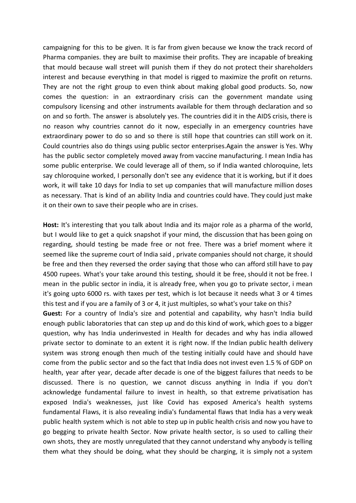campaigning for this to be given. It is far from given because we know the track record of Pharma companies. they are built to maximise their profits. They are incapable of breaking that mould because wall street will punish them if they do not protect their shareholders interest and because everything in that model is rigged to maximize the profit on returns. They are not the right group to even think about making global good products. So, now comes the question: in an extraordinary crisis can the government mandate using compulsory licensing and other instruments available for them through declaration and so on and so forth. The answer is absolutely yes. The countries did it in the AIDS crisis, there is no reason why countries cannot do it now, especially in an emergency countries have extraordinary power to do so and so there is still hope that countries can still work on it. Could countries also do things using public sector enterprises.Again the answer is Yes. Why has the public sector completely moved away from vaccine manufacturing. I mean India has some public enterprise. We could leverage all of them, so if India wanted chloroquine, lets say chloroquine worked, I personally don't see any evidence that it is working, but if it does work, it will take 10 days for India to set up companies that will manufacture million doses as necessary. That is kind of an ability India and countries could have. They could just make it on their own to save their people who are in crises.

**Host:** It's interesting that you talk about India and its major role as a pharma of the world, but I would like to get a quick snapshot if your mind, the discussion that has been going on regarding, should testing be made free or not free. There was a brief moment where it seemed like the supreme court of India said , private companies should not charge, it should be free and then they reversed the order saying that those who can afford still have to pay 4500 rupees. What's your take around this testing, should it be free, should it not be free. I mean in the public sector in india, it is already free, when you go to private sector, i mean it's going upto 6000 rs. with taxes per test, which is lot because it needs what 3 or 4 times this test and if you are a family of 3 or 4, it just multiples, so what's your take on this? **Guest:** For a country of India's size and potential and capability, why hasn't India build

enough public laboratories that can step up and do this kind of work, which goes to a bigger question, why has India underinvested in Health for decades and why has india allowed private sector to dominate to an extent it is right now. If the Indian public health delivery system was strong enough then much of the testing initially could have and should have come from the public sector and so the fact that India does not invest even 1.5 % of GDP on health, year after year, decade after decade is one of the biggest failures that needs to be discussed. There is no question, we cannot discuss anything in India if you don't acknowledge fundamental failure to invest in health, so that extreme privatisation has exposed India's weaknesses, just like Covid has exposed America's health systems fundamental Flaws, it is also revealing india's fundamental flaws that India has a very weak public health system which is not able to step up in public health crisis and now you have to go begging to private health Sector. Now private health sector, is so used to calling their own shots, they are mostly unregulated that they cannot understand why anybody is telling them what they should be doing, what they should be charging, it is simply not a system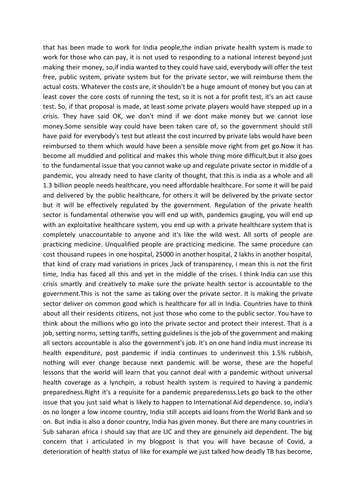that has been made to work for India people,the indian private health system is made to work for those who can pay, it is not used to responding to a national interest beyond just making their money, so,if india wanted to they could have said, everybody will offer the test free, public system, private system but for the private sector, we will reimburse them the actual costs. Whatever the costs are, it shouldn't be a huge amount of money but you can at least cover the core costs of running the test, so it is not a for profit test, it's an act cause test. So, if that proposal is made, at least some private players would have stepped up in a crisis. They have said OK, we don't mind if we dont make money but we cannot lose money.Some sensible way could have been taken care of, so the government should still have paid for everybody's test but atleast the cost incurred by private labs would have been reimbursed to them which would have been a sensible move right from get go.Now it has become all muddied and political and makes this whole thing more difficult,but it also goes to the fundamental issue that you cannot wake up and regulate private sector in middle of a pandemic, you already need to have clarity of thought, that this is india as a whole and all 1.3 billion people needs healthcare, you need affordable healthcare. For some it will be paid and delivered by the public healthcare, for others it will be delivered by the private sector but it will be effectively regulated by the government. Regulation of the private health sector is fundamental otherwise you will end up with, pandemics gauging, you will end up with an exploitative healthcare system, you end up with a private healthcare system that is completely unaccountable to anyone and it's like the wild west. All sorts of people are practicing medicine. Unqualified people are practicing medicine. The same procedure can cost thousand rupees in one hospital, 25000 in another hospital, 2 lakhs in another hospital, that kind of crazy mad variations in prices ,lack of transparency, i mean this is not the first time, India has faced all this and yet in the middle of the crises. I think India can use this crisis smartly and creatively to make sure the private health sector is accountable to the government.This is not the same as taking over the private sector. It is making the private sector deliver on common good which is healthcare for all in India. Countries have to think about all their residents citizens, not just those who come to the public sector. You have to think about the millions who go into the private sector and protect their interest. That is a job, setting norms, setting tariffs, setting guidelines is the job of the government and making all sectors accountable is also the government's job. It's on one hand india must increase its health expenditure, post pandemic if india continues to underinvest this 1.5% rubbish, nothing will ever change because next pandemic will be worse, these are the hopeful lessons that the world will learn that you cannot deal with a pandemic without universal health coverage as a lynchpin, a robust health system is required to having a pandemic preparedness.Right it's a requisite for a pandemic preparedensss.Lets go back to the other issue that you just said what is likely to happen to International Aid dependence. so, india's os no longer a low income country, India still accepts aid loans from the World Bank and so on. But india is also a donor country, India has given money. But there are many countries in Sub saharan africa i should say that are LIC and they are genuinely aid dependent. The big concern that i articulated in my blogpost is that you will have because of Covid, a deterioration of health status of like for example we just talked how deadly TB has become,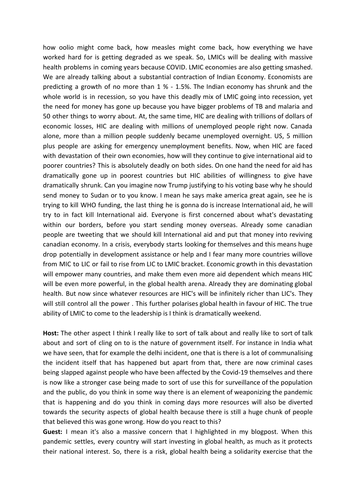how oolio might come back, how measles might come back, how everything we have worked hard for is getting degraded as we speak. So, LMICs will be dealing with massive health problems in coming years because COVID. LMIC economies are also getting smashed. We are already talking about a substantial contraction of Indian Economy. Economists are predicting a growth of no more than 1 % - 1.5%. The Indian economy has shrunk and the whole world is in recession, so you have this deadly mix of LMIC going into recession, yet the need for money has gone up because you have bigger problems of TB and malaria and 50 other things to worry about. At, the same time, HIC are dealing with trillions of dollars of economic losses, HIC are dealing with millions of unemployed people right now. Canada alone, more than a million people suddenly became unemployed overnight. US, 5 million plus people are asking for emergency unemployment benefits. Now, when HIC are faced with devastation of their own economies, how will they continue to give international aid to poorer countries? This is absolutely deadly on both sides. On one hand the need for aid has dramatically gone up in poorest countries but HIC abilities of willingness to give have dramatically shrunk. Can you imagine now Trump justifying to his voting base why he should send money to Sudan or to you know. I mean he says make america great again, see he is trying to kill WHO funding, the last thing he is gonna do is increase International aid, he will try to in fact kill International aid. Everyone is first concerned about what's devastating within our borders, before you start sending money overseas. Already some canadian people are tweeting that we should kill International aid and put that money into reviving canadian economy. In a crisis, everybody starts looking for themselves and this means huge drop potentially in development assistance or help and I fear many more countries willove from MIC to LIC or fail to rise from LIC to LMIC bracket. Economic growth in this devastation will empower many countries, and make them even more aid dependent which means HIC will be even more powerful, in the global health arena. Already they are dominating global health. But now since whatever resources are HIC's will be infinitely richer than LIC's. They will still control all the power . This further polarises global health in favour of HIC. The true ability of LMIC to come to the leadership is I think is dramatically weekend.

**Host:** The other aspect I think I really like to sort of talk about and really like to sort of talk about and sort of cling on to is the nature of government itself. For instance in India what we have seen, that for example the delhi incident, one that is there is a lot of communalising the incident itself that has happened but apart from that, there are now criminal cases being slapped against people who have been affected by the Covid-19 themselves and there is now like a stronger case being made to sort of use this for surveillance of the population and the public, do you think in some way there is an element of weaponizing the pandemic that is happening and do you think in coming days more resources will also be diverted towards the security aspects of global health because there is still a huge chunk of people that believed this was gone wrong. How do you react to this?

**Guest:** I mean it's also a massive concern that I highlighted in my blogpost. When this pandemic settles, every country will start investing in global health, as much as it protects their national interest. So, there is a risk, global health being a solidarity exercise that the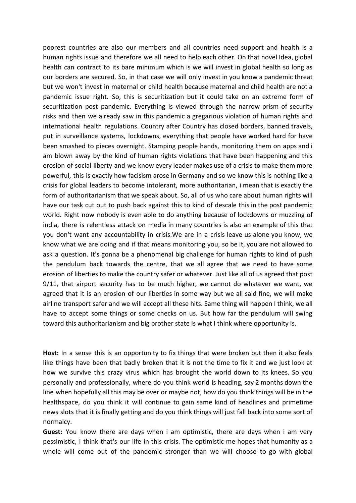poorest countries are also our members and all countries need support and health is a human rights issue and therefore we all need to help each other. On that novel Idea, global health can contract to its bare minimum which is we will invest in global health so long as our borders are secured. So, in that case we will only invest in you know a pandemic threat but we won't invest in maternal or child health because maternal and child health are not a pandemic issue right. So, this is securitization but it could take on an extreme form of securitization post pandemic. Everything is viewed through the narrow prism of security risks and then we already saw in this pandemic a gregarious violation of human rights and international health regulations. Country after Country has closed borders, banned travels, put in surveillance systems, lockdowns, everything that people have worked hard for have been smashed to pieces overnight. Stamping people hands, monitoring them on apps and i am blown away by the kind of human rights violations that have been happening and this erosion of social liberty and we know every leader makes use of a crisis to make them more powerful, this is exactly how facisism arose in Germany and so we know this is nothing like a crisis for global leaders to become intolerant, more authoritarian, i mean that is exactly the form of authoritarianism that we speak about. So, all of us who care about human rights will have our task cut out to push back against this to kind of descale this in the post pandemic world. Right now nobody is even able to do anything because of lockdowns or muzzling of india, there is relentless attack on media in many countries is also an example of this that you don't want any accountability in crisis.We are in a crisis leave us alone you know, we know what we are doing and if that means monitoring you, so be it, you are not allowed to ask a question. It's gonna be a phenomenal big challenge for human rights to kind of push the pendulum back towards the centre, that we all agree that we need to have some erosion of liberties to make the country safer or whatever. Just like all of us agreed that post 9/11, that airport security has to be much higher, we cannot do whatever we want, we agreed that it is an erosion of our liberties in some way but we all said fine, we will make airline transport safer and we will accept all these hits. Same thing will happen I think, we all have to accept some things or some checks on us. But how far the pendulum will swing toward this authoritarianism and big brother state is what I think where opportunity is.

**Host:** In a sense this is an opportunity to fix things that were broken but then it also feels like things have been that badly broken that it is not the time to fix it and we just look at how we survive this crazy virus which has brought the world down to its knees. So you personally and professionally, where do you think world is heading, say 2 months down the line when hopefully all this may be over or maybe not, how do you think things will be in the healthspace, do you think it will continue to gain same kind of headlines and primetime news slots that it is finally getting and do you think things will just fall back into some sort of normalcy.

**Guest:** You know there are days when i am optimistic, there are days when i am very pessimistic, i think that's our life in this crisis. The optimistic me hopes that humanity as a whole will come out of the pandemic stronger than we will choose to go with global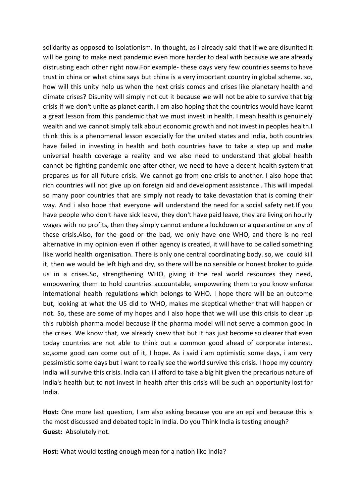solidarity as opposed to isolationism. In thought, as i already said that if we are disunited it will be going to make next pandemic even more harder to deal with because we are already distrusting each other right now.For example- these days very few countries seems to have trust in china or what china says but china is a very important country in global scheme. so, how will this unity help us when the next crisis comes and crises like planetary health and climate crises? Disunity will simply not cut it because we will not be able to survive that big crisis if we don't unite as planet earth. I am also hoping that the countries would have learnt a great lesson from this pandemic that we must invest in health. I mean health is genuinely wealth and we cannot simply talk about economic growth and not invest in peoples health.I think this is a phenomenal lesson especially for the united states and India, both countries have failed in investing in health and both countries have to take a step up and make universal health coverage a reality and we also need to understand that global health cannot be fighting pandemic one after other, we need to have a decent health system that prepares us for all future crisis. We cannot go from one crisis to another. I also hope that rich countries will not give up on foreign aid and development assistance . This will impedal so many poor countries that are simply not ready to take devastation that is coming their way. And i also hope that everyone will understand the need for a social safety net.If you have people who don't have sick leave, they don't have paid leave, they are living on hourly wages with no profits, then they simply cannot endure a lockdown or a quarantine or any of these crisis.Also, for the good or the bad, we only have one WHO, and there is no real alternative in my opinion even if other agency is created, it will have to be called something like world health organisation. There is only one central coordinating body. so, we could kill it, then we would be left high and dry, so there will be no sensible or honest broker to guide us in a crises.So, strengthening WHO, giving it the real world resources they need, empowering them to hold countries accountable, empowering them to you know enforce international health regulations which belongs to WHO. I hope there will be an outcome but, looking at what the US did to WHO, makes me skeptical whether that will happen or not. So, these are some of my hopes and I also hope that we will use this crisis to clear up this rubbish pharma model because if the pharma model will not serve a common good in the crises. We know that, we already knew that but it has just become so clearer that even today countries are not able to think out a common good ahead of corporate interest. so,some good can come out of it, I hope. As i said i am optimistic some days, i am very pessimistic some days but i want to really see the world survive this crisis. I hope my country India will survive this crisis. India can ill afford to take a big hit given the precarious nature of India's health but to not invest in health after this crisis will be such an opportunity lost for India.

**Host:** One more last question, I am also asking because you are an epi and because this is the most discussed and debated topic in India. Do you Think India is testing enough? **Guest:** Absolutely not.

**Host:** What would testing enough mean for a nation like India?